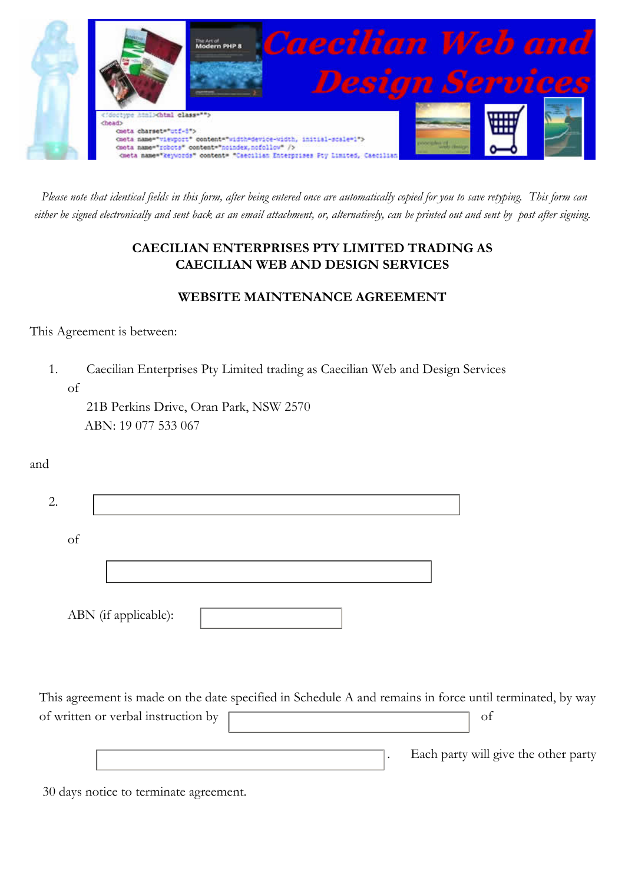

*Please note that identical fields in this form, after being entered once are automatically copied for you to save retyping. This form can either be signed electronically and sent back as an email attachment, or, alternatively, can be printed out and sent by post after signing.*

# **CAECILIAN ENTERPRISES PTY LIMITED TRADING AS CAECILIAN WEB AND DESIGN SERVICES**

### **WEBSITE MAINTENANCE AGREEMENT**

This Agreement is between:

1. Caecilian Enterprises Pty Limited trading as Caecilian Web and Design Services of

21B Perkins Drive, Oran Park, NSW 2570 ABN: 19 077 533 067

and

| 2. |    |                      |  |
|----|----|----------------------|--|
|    | of |                      |  |
|    |    |                      |  |
|    |    | ABN (if applicable): |  |

This agreement is made on the date specified in Schedule A and remains in force until terminated, by way of written or verbal instruction by a state of verbal instruction by  $\sigma$ 

. Each party will give the other party

30 days notice to terminate agreement.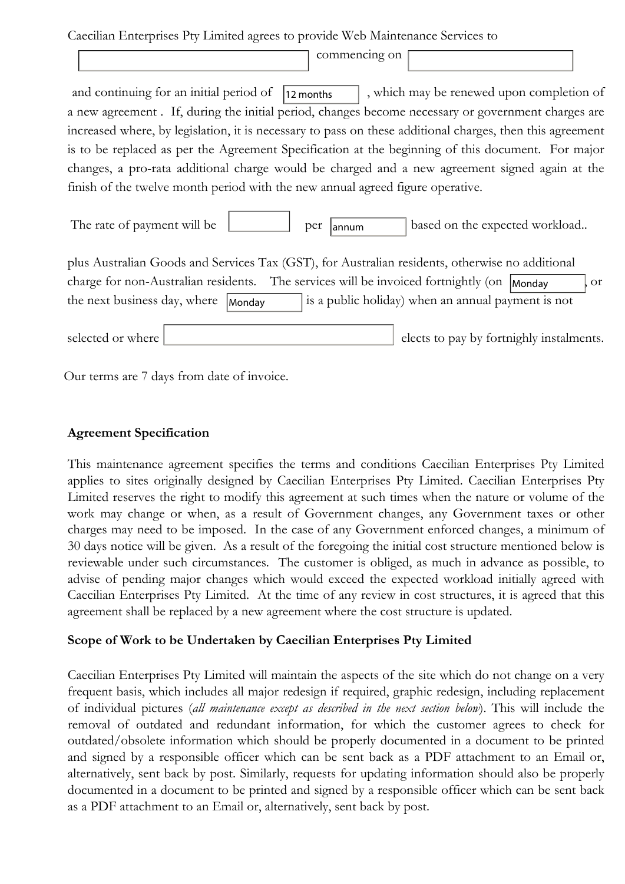Caecilian Enterprises Pty Limited agrees to provide Web Maintenance Services to

|                              |                                                                                | commencing on |                                                                                                           |
|------------------------------|--------------------------------------------------------------------------------|---------------|-----------------------------------------------------------------------------------------------------------|
|                              | and continuing for an initial period of                                        | 12 months     | , which may be renewed upon completion of                                                                 |
|                              |                                                                                |               | a new agreement. If, during the initial period, changes become necessary or government charges are        |
|                              |                                                                                |               | increased where, by legislation, it is necessary to pass on these additional charges, then this agreement |
|                              |                                                                                |               | is to be replaced as per the Agreement Specification at the beginning of this document. For major         |
|                              |                                                                                |               | changes, a pro-rata additional charge would be charged and a new agreement signed again at the            |
|                              | finish of the twelve month period with the new annual agreed figure operative. |               |                                                                                                           |
| The rate of payment will be  |                                                                                | per<br>annum  | based on the expected workload                                                                            |
|                              |                                                                                |               | plus Australian Goods and Services Tax (GST), for Australian residents, otherwise no additional           |
|                              |                                                                                |               | charge for non-Australian residents. The services will be invoiced fortnightly (on  Monday<br><b>or</b>   |
| the next business day, where | Monday                                                                         |               | is a public holiday) when an annual payment is not                                                        |
|                              |                                                                                |               |                                                                                                           |
| selected or where            |                                                                                |               | elects to pay by fortnighly instalments.                                                                  |

Our terms are 7 days from date of invoice.

### **Agreement Specification**

This maintenance agreement specifies the terms and conditions Caecilian Enterprises Pty Limited applies to sites originally designed by Caecilian Enterprises Pty Limited. Caecilian Enterprises Pty Limited reserves the right to modify this agreement at such times when the nature or volume of the work may change or when, as a result of Government changes, any Government taxes or other charges may need to be imposed. In the case of any Government enforced changes, a minimum of 30 days notice will be given. As a result of the foregoing the initial cost structure mentioned below is reviewable under such circumstances. The customer is obliged, as much in advance as possible, to advise of pending major changes which would exceed the expected workload initially agreed with Caecilian Enterprises Pty Limited. At the time of any review in cost structures, it is agreed that this agreement shall be replaced by a new agreement where the cost structure is updated.

#### **Scope of Work to be Undertaken by Caecilian Enterprises Pty Limited**

Caecilian Enterprises Pty Limited will maintain the aspects of the site which do not change on a very frequent basis, which includes all major redesign if required, graphic redesign, including replacement of individual pictures (*all maintenance except as described in the next section below*). This will include the removal of outdated and redundant information, for which the customer agrees to check for outdated/obsolete information which should be properly documented in a document to be printed and signed by a responsible officer which can be sent back as a PDF attachment to an Email or, alternatively, sent back by post. Similarly, requests for updating information should also be properly documented in a document to be printed and signed by a responsible officer which can be sent back as a PDF attachment to an Email or, alternatively, sent back by post.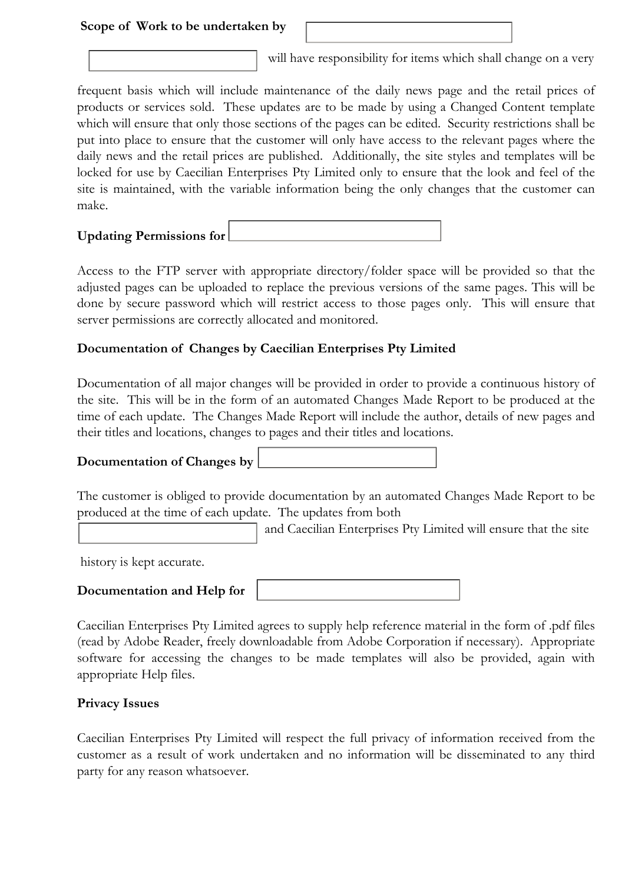#### **Scope of Work to be undertaken by**

will have responsibility for items which shall change on a very

frequent basis which will include maintenance of the daily news page and the retail prices of products or services sold. These updates are to be made by using a Changed Content template which will ensure that only those sections of the pages can be edited. Security restrictions shall be put into place to ensure that the customer will only have access to the relevant pages where the daily news and the retail prices are published. Additionally, the site styles and templates will be locked for use by Caecilian Enterprises Pty Limited only to ensure that the look and feel of the site is maintained, with the variable information being the only changes that the customer can make.

| <b>Updating Permissions for</b> |  |
|---------------------------------|--|
|                                 |  |

Access to the FTP server with appropriate directory/folder space will be provided so that the adjusted pages can be uploaded to replace the previous versions of the same pages. This will be done by secure password which will restrict access to those pages only. This will ensure that server permissions are correctly allocated and monitored.

### **Documentation of Changes by Caecilian Enterprises Pty Limited**

Documentation of all major changes will be provided in order to provide a continuous history of the site. This will be in the form of an automated Changes Made Report to be produced at the time of each update. The Changes Made Report will include the author, details of new pages and their titles and locations, changes to pages and their titles and locations.

# **Documentation of Changes by**

The customer is obliged to provide documentation by an automated Changes Made Report to be produced at the time of each update. The updates from both

and Caecilian Enterprises Pty Limited will ensure that the site

history is kept accurate.

 $\overline{a}$ 

#### **Documentation and Help for**

Caecilian Enterprises Pty Limited agrees to supply help reference material in the form of .pdf files (read by Adobe Reader, freely downloadable from Adobe Corporation if necessary). Appropriate software for accessing the changes to be made templates will also be provided, again with appropriate Help files.

#### **Privacy Issues**

Caecilian Enterprises Pty Limited will respect the full privacy of information received from the customer as a result of work undertaken and no information will be disseminated to any third party for any reason whatsoever.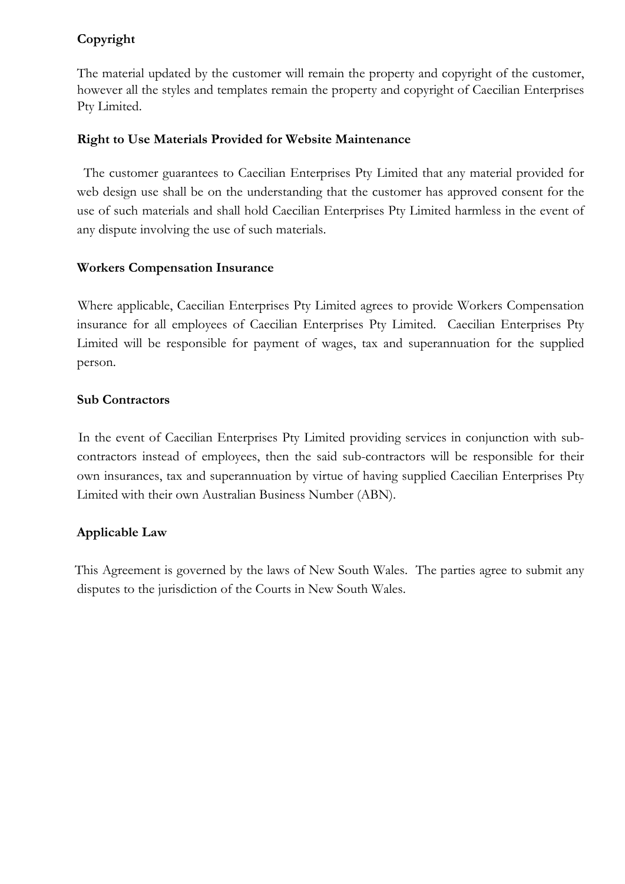# **Copyright**

The material updated by the customer will remain the property and copyright of the customer, however all the styles and templates remain the property and copyright of Caecilian Enterprises Pty Limited.

### **Right to Use Materials Provided for Website Maintenance**

The customer guarantees to Caecilian Enterprises Pty Limited that any material provided for web design use shall be on the understanding that the customer has approved consent for the use of such materials and shall hold Caecilian Enterprises Pty Limited harmless in the event of any dispute involving the use of such materials.

### **Workers Compensation Insurance**

Where applicable, Caecilian Enterprises Pty Limited agrees to provide Workers Compensation insurance for all employees of Caecilian Enterprises Pty Limited. Caecilian Enterprises Pty Limited will be responsible for payment of wages, tax and superannuation for the supplied person.

### **Sub Contractors**

In the event of Caecilian Enterprises Pty Limited providing services in conjunction with subcontractors instead of employees, then the said sub-contractors will be responsible for their own insurances, tax and superannuation by virtue of having supplied Caecilian Enterprises Pty Limited with their own Australian Business Number (ABN).

# **Applicable Law**

This Agreement is governed by the laws of New South Wales. The parties agree to submit any disputes to the jurisdiction of the Courts in New South Wales.